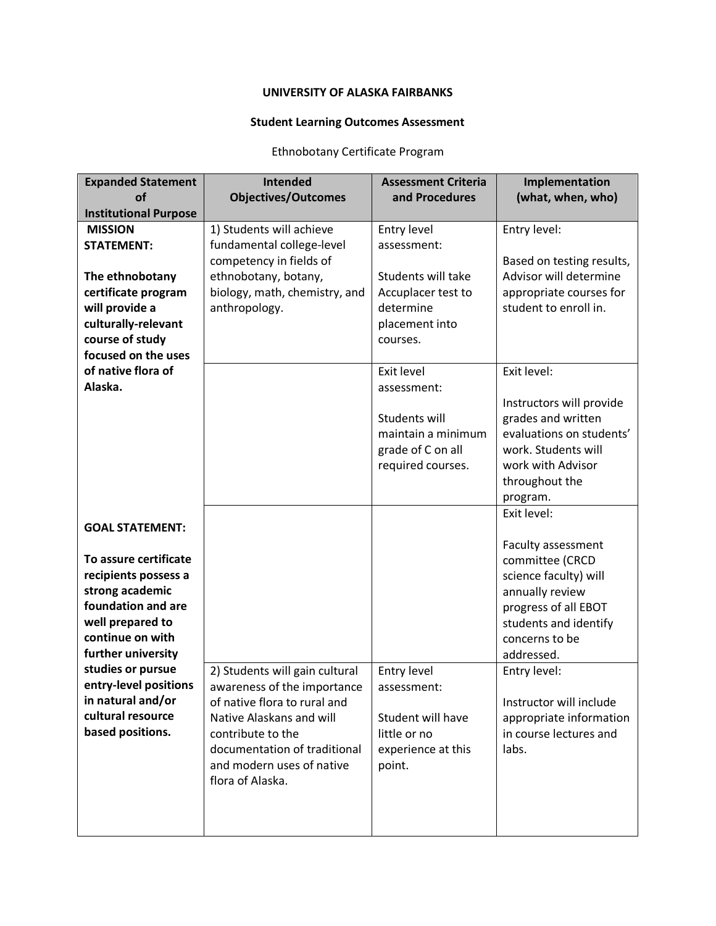## **UNIVERSITY OF ALASKA FAIRBANKS**

## **Student Learning Outcomes Assessment**

## Ethnobotany Certificate Program

| <b>Expanded Statement</b>    | <b>Intended</b>                | <b>Assessment Criteria</b> | Implementation            |
|------------------------------|--------------------------------|----------------------------|---------------------------|
| <b>of</b>                    | <b>Objectives/Outcomes</b>     | and Procedures             | (what, when, who)         |
| <b>Institutional Purpose</b> |                                |                            |                           |
| <b>MISSION</b>               | 1) Students will achieve       | Entry level                | Entry level:              |
| <b>STATEMENT:</b>            | fundamental college-level      | assessment:                |                           |
|                              | competency in fields of        |                            | Based on testing results, |
| The ethnobotany              | ethnobotany, botany,           | Students will take         | Advisor will determine    |
| certificate program          | biology, math, chemistry, and  | Accuplacer test to         | appropriate courses for   |
| will provide a               | anthropology.                  | determine                  | student to enroll in.     |
| culturally-relevant          |                                | placement into             |                           |
| course of study              |                                | courses.                   |                           |
| focused on the uses          |                                |                            |                           |
| of native flora of           |                                | Exit level                 | Exit level:               |
| Alaska.                      |                                | assessment:                |                           |
|                              |                                |                            | Instructors will provide  |
|                              |                                | Students will              | grades and written        |
|                              |                                | maintain a minimum         | evaluations on students'  |
|                              |                                | grade of C on all          | work. Students will       |
|                              |                                | required courses.          | work with Advisor         |
|                              |                                |                            | throughout the            |
|                              |                                |                            | program.                  |
|                              |                                |                            | Exit level:               |
| <b>GOAL STATEMENT:</b>       |                                |                            |                           |
|                              |                                |                            | Faculty assessment        |
| To assure certificate        |                                |                            | committee (CRCD           |
| recipients possess a         |                                |                            | science faculty) will     |
| strong academic              |                                |                            | annually review           |
| foundation and are           |                                |                            | progress of all EBOT      |
| well prepared to             |                                |                            | students and identify     |
| continue on with             |                                |                            | concerns to be            |
| further university           |                                |                            | addressed.                |
| studies or pursue            | 2) Students will gain cultural | Entry level                | Entry level:              |
| entry-level positions        | awareness of the importance    | assessment:                |                           |
| in natural and/or            | of native flora to rural and   |                            | Instructor will include   |
| cultural resource            | Native Alaskans and will       | Student will have          | appropriate information   |
| based positions.             | contribute to the              | little or no               | in course lectures and    |
|                              | documentation of traditional   | experience at this         | labs.                     |
|                              | and modern uses of native      | point.                     |                           |
|                              | flora of Alaska.               |                            |                           |
|                              |                                |                            |                           |
|                              |                                |                            |                           |
|                              |                                |                            |                           |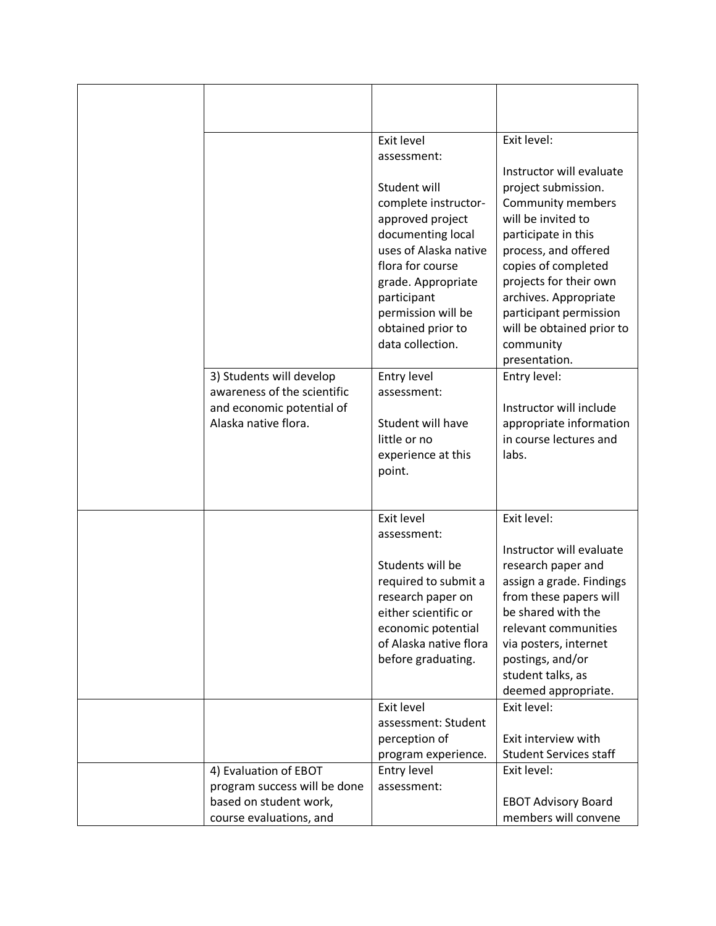|                              | Exit level                            | Exit level:                                                          |
|------------------------------|---------------------------------------|----------------------------------------------------------------------|
|                              | assessment:                           |                                                                      |
|                              | Student will<br>complete instructor-  | Instructor will evaluate<br>project submission.<br>Community members |
|                              | approved project                      | will be invited to                                                   |
|                              | documenting local                     | participate in this                                                  |
|                              | uses of Alaska native                 | process, and offered                                                 |
|                              | flora for course                      | copies of completed                                                  |
|                              | grade. Appropriate                    | projects for their own                                               |
|                              | participant                           | archives. Appropriate                                                |
|                              | permission will be                    | participant permission<br>will be obtained prior to                  |
|                              | obtained prior to<br>data collection. | community                                                            |
|                              |                                       | presentation.                                                        |
| 3) Students will develop     | Entry level                           | Entry level:                                                         |
| awareness of the scientific  | assessment:                           |                                                                      |
| and economic potential of    |                                       | Instructor will include                                              |
| Alaska native flora.         | Student will have                     | appropriate information                                              |
|                              | little or no                          | in course lectures and<br>labs.                                      |
|                              | experience at this<br>point.          |                                                                      |
|                              |                                       |                                                                      |
|                              |                                       |                                                                      |
|                              | Exit level                            | Exit level:                                                          |
|                              | assessment:                           |                                                                      |
|                              | Students will be                      | Instructor will evaluate                                             |
|                              | required to submit a                  | research paper and<br>assign a grade. Findings                       |
|                              | research paper on                     | from these papers will                                               |
|                              | either scientific or                  | be shared with the                                                   |
|                              | economic potential                    | relevant communities                                                 |
|                              | of Alaska native flora                | via posters, internet                                                |
|                              | before graduating.                    | postings, and/or                                                     |
|                              |                                       | student talks, as                                                    |
|                              | Exit level                            | deemed appropriate.<br>Exit level:                                   |
|                              | assessment: Student                   |                                                                      |
|                              | perception of                         | Exit interview with                                                  |
|                              | program experience.                   | <b>Student Services staff</b>                                        |
| 4) Evaluation of EBOT        | Entry level                           | Exit level:                                                          |
| program success will be done | assessment:                           |                                                                      |
| based on student work,       |                                       | <b>EBOT Advisory Board</b>                                           |
| course evaluations, and      |                                       | members will convene                                                 |